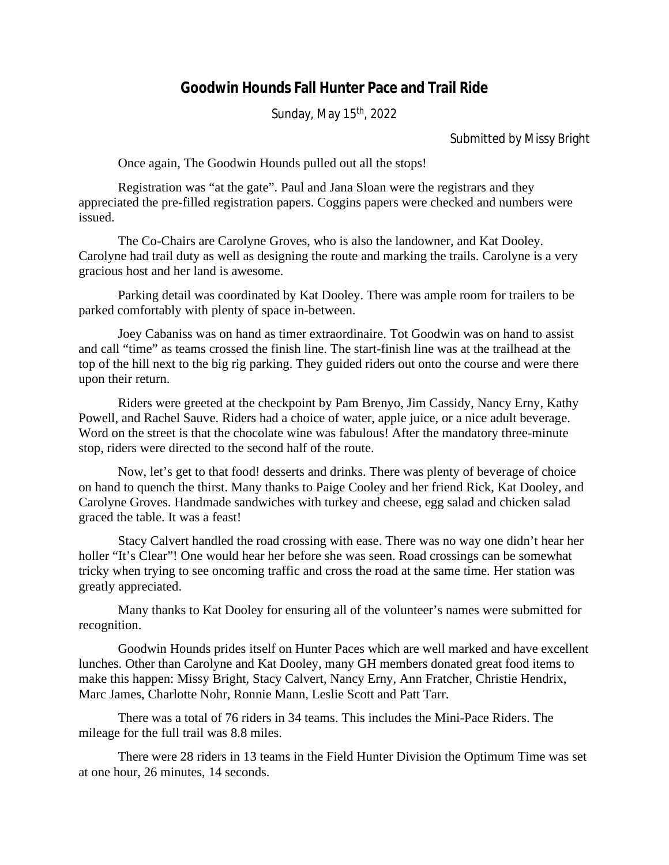## **Goodwin Hounds Fall Hunter Pace and Trail Ride**

Sunday, May 15<sup>th</sup>, 2022

## Submitted by Missy Bright

Once again, The Goodwin Hounds pulled out all the stops!

Registration was "at the gate". Paul and Jana Sloan were the registrars and they appreciated the pre-filled registration papers. Coggins papers were checked and numbers were issued.

The Co-Chairs are Carolyne Groves, who is also the landowner, and Kat Dooley. Carolyne had trail duty as well as designing the route and marking the trails. Carolyne is a very gracious host and her land is awesome.

Parking detail was coordinated by Kat Dooley. There was ample room for trailers to be parked comfortably with plenty of space in-between.

Joey Cabaniss was on hand as timer extraordinaire. Tot Goodwin was on hand to assist and call "time" as teams crossed the finish line. The start-finish line was at the trailhead at the top of the hill next to the big rig parking. They guided riders out onto the course and were there upon their return.

Riders were greeted at the checkpoint by Pam Brenyo, Jim Cassidy, Nancy Erny, Kathy Powell, and Rachel Sauve. Riders had a choice of water, apple juice, or a nice adult beverage. Word on the street is that the chocolate wine was fabulous! After the mandatory three-minute stop, riders were directed to the second half of the route.

Now, let's get to that food! desserts and drinks. There was plenty of beverage of choice on hand to quench the thirst. Many thanks to Paige Cooley and her friend Rick, Kat Dooley, and Carolyne Groves. Handmade sandwiches with turkey and cheese, egg salad and chicken salad graced the table. It was a feast!

Stacy Calvert handled the road crossing with ease. There was no way one didn't hear her holler "It's Clear"! One would hear her before she was seen. Road crossings can be somewhat tricky when trying to see oncoming traffic and cross the road at the same time. Her station was greatly appreciated.

Many thanks to Kat Dooley for ensuring all of the volunteer's names were submitted for recognition.

Goodwin Hounds prides itself on Hunter Paces which are well marked and have excellent lunches. Other than Carolyne and Kat Dooley, many GH members donated great food items to make this happen: Missy Bright, Stacy Calvert, Nancy Erny, Ann Fratcher, Christie Hendrix, Marc James, Charlotte Nohr, Ronnie Mann, Leslie Scott and Patt Tarr.

There was a total of 76 riders in 34 teams. This includes the Mini-Pace Riders. The mileage for the full trail was 8.8 miles.

There were 28 riders in 13 teams in the Field Hunter Division the Optimum Time was set at one hour, 26 minutes, 14 seconds.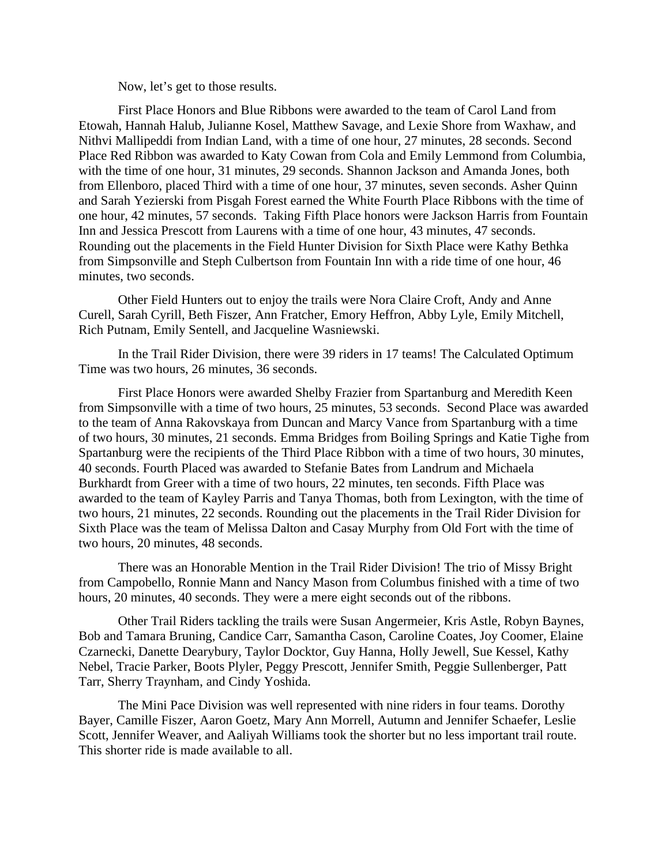Now, let's get to those results.

First Place Honors and Blue Ribbons were awarded to the team of Carol Land from Etowah, Hannah Halub, Julianne Kosel, Matthew Savage, and Lexie Shore from Waxhaw, and Nithvi Mallipeddi from Indian Land, with a time of one hour, 27 minutes, 28 seconds. Second Place Red Ribbon was awarded to Katy Cowan from Cola and Emily Lemmond from Columbia, with the time of one hour, 31 minutes, 29 seconds. Shannon Jackson and Amanda Jones, both from Ellenboro, placed Third with a time of one hour, 37 minutes, seven seconds. Asher Quinn and Sarah Yezierski from Pisgah Forest earned the White Fourth Place Ribbons with the time of one hour, 42 minutes, 57 seconds. Taking Fifth Place honors were Jackson Harris from Fountain Inn and Jessica Prescott from Laurens with a time of one hour, 43 minutes, 47 seconds. Rounding out the placements in the Field Hunter Division for Sixth Place were Kathy Bethka from Simpsonville and Steph Culbertson from Fountain Inn with a ride time of one hour, 46 minutes, two seconds.

Other Field Hunters out to enjoy the trails were Nora Claire Croft, Andy and Anne Curell, Sarah Cyrill, Beth Fiszer, Ann Fratcher, Emory Heffron, Abby Lyle, Emily Mitchell, Rich Putnam, Emily Sentell, and Jacqueline Wasniewski.

In the Trail Rider Division, there were 39 riders in 17 teams! The Calculated Optimum Time was two hours, 26 minutes, 36 seconds.

First Place Honors were awarded Shelby Frazier from Spartanburg and Meredith Keen from Simpsonville with a time of two hours, 25 minutes, 53 seconds. Second Place was awarded to the team of Anna Rakovskaya from Duncan and Marcy Vance from Spartanburg with a time of two hours, 30 minutes, 21 seconds. Emma Bridges from Boiling Springs and Katie Tighe from Spartanburg were the recipients of the Third Place Ribbon with a time of two hours, 30 minutes, 40 seconds. Fourth Placed was awarded to Stefanie Bates from Landrum and Michaela Burkhardt from Greer with a time of two hours, 22 minutes, ten seconds. Fifth Place was awarded to the team of Kayley Parris and Tanya Thomas, both from Lexington, with the time of two hours, 21 minutes, 22 seconds. Rounding out the placements in the Trail Rider Division for Sixth Place was the team of Melissa Dalton and Casay Murphy from Old Fort with the time of two hours, 20 minutes, 48 seconds.

There was an Honorable Mention in the Trail Rider Division! The trio of Missy Bright from Campobello, Ronnie Mann and Nancy Mason from Columbus finished with a time of two hours, 20 minutes, 40 seconds. They were a mere eight seconds out of the ribbons.

Other Trail Riders tackling the trails were Susan Angermeier, Kris Astle, Robyn Baynes, Bob and Tamara Bruning, Candice Carr, Samantha Cason, Caroline Coates, Joy Coomer, Elaine Czarnecki, Danette Dearybury, Taylor Docktor, Guy Hanna, Holly Jewell, Sue Kessel, Kathy Nebel, Tracie Parker, Boots Plyler, Peggy Prescott, Jennifer Smith, Peggie Sullenberger, Patt Tarr, Sherry Traynham, and Cindy Yoshida.

The Mini Pace Division was well represented with nine riders in four teams. Dorothy Bayer, Camille Fiszer, Aaron Goetz, Mary Ann Morrell, Autumn and Jennifer Schaefer, Leslie Scott, Jennifer Weaver, and Aaliyah Williams took the shorter but no less important trail route. This shorter ride is made available to all.